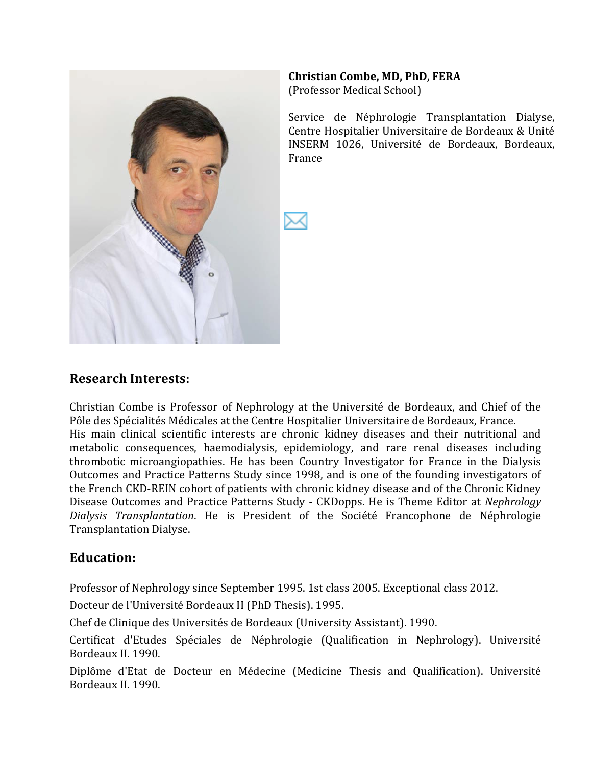

#### **Christian)Combe,)MD, PhD,)FERA**

(Professor Medical School)

Service de Néphrologie Transplantation Dialyse, Centre Hospitalier Universitaire de Bordeaux & Unité INSERM 1026, Université de Bordeaux, Bordeaux, France

#### **Research)Interests:**

Christian Combe is Professor of Nephrology at the Université de Bordeaux, and Chief of the Pôle des Spécialités Médicales at the Centre Hospitalier Universitaire de Bordeaux, France. His main clinical scientific interests are chronic kidney diseases and their nutritional and metabolic consequences, haemodialysis, epidemiology, and rare renal diseases including thrombotic microangiopathies. He has been Country Investigator for France in the Dialysis Outcomes and Practice Patterns Study since 1998, and is one of the founding investigators of the French CKD-REIN cohort of patients with chronic kidney disease and of the Chronic Kidney Disease Outcomes and Practice Patterns Study - CKDopps. He is Theme Editor at *Nephrology Dialysis Transplantation*. He is President of the Société Francophone de Néphrologie Transplantation Dialyse.

#### **Education:**

Professor of Nephrology since September 1995. 1st class 2005. Exceptional class 2012.

Docteur de l'Université Bordeaux II (PhD Thesis). 1995.

Chef de Clinique des Universités de Bordeaux (University Assistant). 1990.

Certificat d'Etudes Spéciales de Néphrologie (Qualification in Nephrology). Université Bordeaux II. 1990.

Diplôme d'Etat de Docteur en Médecine (Medicine Thesis and Qualification). Université Bordeaux II. 1990.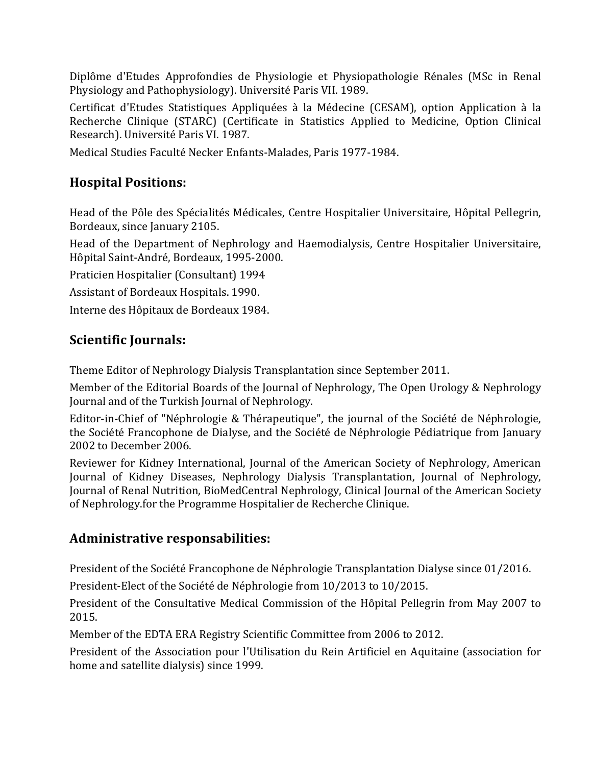Diplôme d'Etudes Approfondies de Physiologie et Physiopathologie Rénales (MSc in Renal Physiology and Pathophysiology). Université Paris VII. 1989.

Certificat d'Etudes Statistiques Appliquées à la Médecine (CESAM), option Application à la Recherche Clinique (STARC) (Certificate in Statistics Applied to Medicine, Option Clinical Research). Université Paris VI. 1987.

Medical Studies Faculté Necker Enfants-Malades, Paris 1977-1984.

# **Hospital)Positions:**

Head of the Pôle des Spécialités Médicales, Centre Hospitalier Universitaire, Hôpital Pellegrin, Bordeaux, since January 2105.

Head of the Department of Nephrology and Haemodialysis, Centre Hospitalier Universitaire, Hôpital Saint-André, Bordeaux, 1995-2000.

Praticien Hospitalier (Consultant) 1994

Assistant of Bordeaux Hospitals. 1990.

Interne des Hôpitaux de Bordeaux 1984.

### **Scientific Journals:**

Theme Editor of Nephrology Dialysis Transplantation since September 2011.

Member of the Editorial Boards of the Journal of Nephrology, The Open Urology & Nephrology Journal and of the Turkish Journal of Nephrology.

Editor-in-Chief of "Néphrologie & Thérapeutique", the journal of the Société de Néphrologie, the Société Francophone de Dialyse, and the Société de Néphrologie Pédiatrique from January 2002 to December 2006.

Reviewer for Kidney International, Journal of the American Society of Nephrology, American Journal of Kidney Diseases, Nephrology Dialysis Transplantation, Journal of Nephrology, Journal of Renal Nutrition, BioMedCentral Nephrology, Clinical Journal of the American Society of Nephrology.for the Programme Hospitalier de Recherche Clinique.

### **Administrative responsabilities:**

President of the Société Francophone de Néphrologie Transplantation Dialyse since 01/2016.

President-Elect of the Société de Néphrologie from 10/2013 to 10/2015.

President of the Consultative Medical Commission of the Hôpital Pellegrin from May 2007 to 2015.

Member of the EDTA ERA Registry Scientific Committee from 2006 to 2012.

President of the Association pour l'Utilisation du Rein Artificiel en Aquitaine (association for home and satellite dialysis) since 1999.